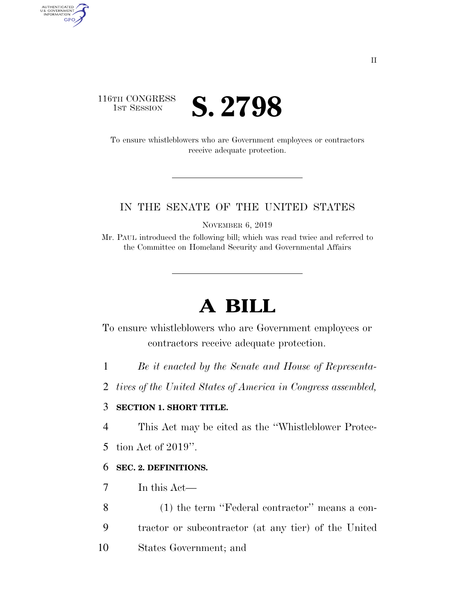### 116TH CONGRESS **IST SESSION S. 2798**

AUTHENTICATED<br>U.S. GOVERNMENT<br>INFORMATION GPO

> To ensure whistleblowers who are Government employees or contractors receive adequate protection.

#### IN THE SENATE OF THE UNITED STATES

NOVEMBER 6, 2019

Mr. PAUL introduced the following bill; which was read twice and referred to the Committee on Homeland Security and Governmental Affairs

# **A BILL**

To ensure whistleblowers who are Government employees or contractors receive adequate protection.

- 1 *Be it enacted by the Senate and House of Representa-*
- 2 *tives of the United States of America in Congress assembled,*

#### 3 **SECTION 1. SHORT TITLE.**

4 This Act may be cited as the ''Whistleblower Protec-

5 tion Act of 2019''.

#### 6 **SEC. 2. DEFINITIONS.**

- 7 In this Act—
- 8 (1) the term ''Federal contractor'' means a con-9 tractor or subcontractor (at any tier) of the United 10 States Government; and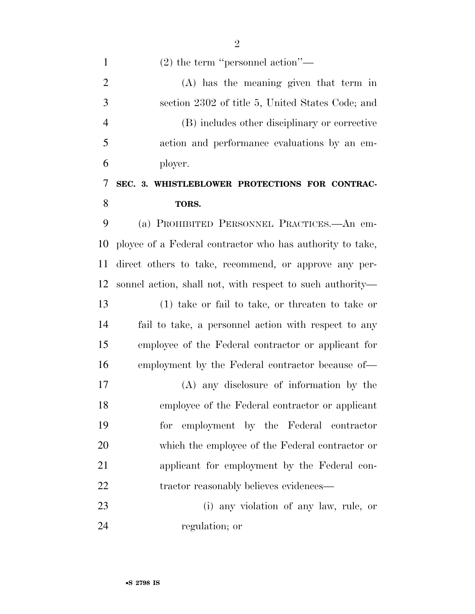(2) the term ''personnel action''—

 (A) has the meaning given that term in section 2302 of title 5, United States Code; and (B) includes other disciplinary or corrective action and performance evaluations by an em-ployer.

### **SEC. 3. WHISTLEBLOWER PROTECTIONS FOR CONTRAC-TORS.**

 (a) PROHIBITED PERSONNEL PRACTICES.—An em- ployee of a Federal contractor who has authority to take, direct others to take, recommend, or approve any per- sonnel action, shall not, with respect to such authority— (1) take or fail to take, or threaten to take or fail to take, a personnel action with respect to any employee of the Federal contractor or applicant for employment by the Federal contractor because of—

 (A) any disclosure of information by the employee of the Federal contractor or applicant for employment by the Federal contractor which the employee of the Federal contractor or applicant for employment by the Federal con-22 tractor reasonably believes evidences—

 (i) any violation of any law, rule, or regulation; or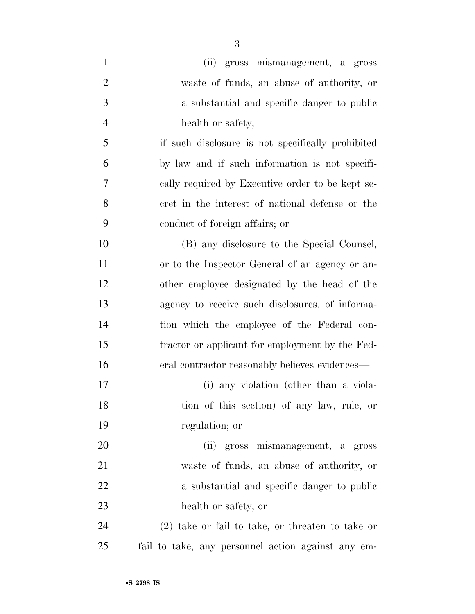| $\mathbf{1}$   | (ii) gross mismanagement, a gross                  |
|----------------|----------------------------------------------------|
| $\overline{2}$ | waste of funds, an abuse of authority, or          |
| 3              | a substantial and specific danger to public        |
| $\overline{4}$ | health or safety,                                  |
| 5              | if such disclosure is not specifically prohibited  |
| 6              | by law and if such information is not specifi-     |
| $\tau$         | cally required by Executive order to be kept se-   |
| 8              | cret in the interest of national defense or the    |
| 9              | conduct of foreign affairs; or                     |
| 10             | (B) any disclosure to the Special Counsel,         |
| 11             | or to the Inspector General of an agency or an-    |
| 12             | other employee designated by the head of the       |
| 13             | agency to receive such disclosures, of informa-    |
| 14             | tion which the employee of the Federal con-        |
| 15             | tractor or applicant for employment by the Fed-    |
| 16             | eral contractor reasonably believes evidences—     |
| 17             | (i) any violation (other than a viola-             |
| 18             | tion of this section) of any law, rule, or         |
| 19             | regulation; or                                     |
| 20             | (ii) gross mismanagement, a gross                  |
| 21             | waste of funds, an abuse of authority, or          |
| 22             | a substantial and specific danger to public        |
| 23             | health or safety; or                               |
| 24             | $(2)$ take or fail to take, or threaten to take or |
| 25             | fail to take, any personnel action against any em- |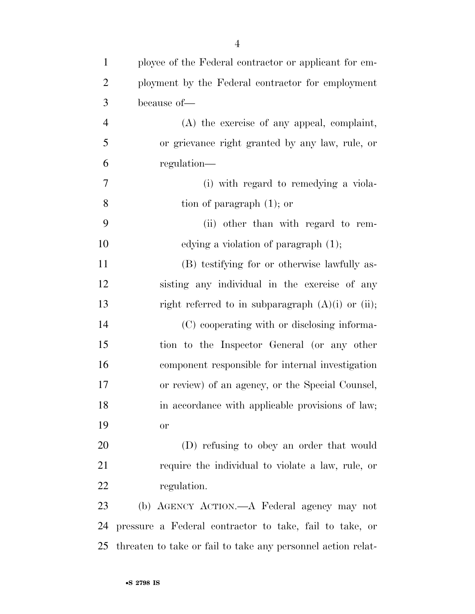| $\mathbf{1}$   | ployee of the Federal contractor or applicant for em-        |
|----------------|--------------------------------------------------------------|
| $\overline{2}$ | ployment by the Federal contractor for employment            |
| 3              | because of-                                                  |
| $\overline{4}$ | (A) the exercise of any appeal, complaint,                   |
| 5              | or grievance right granted by any law, rule, or              |
| 6              | regulation—                                                  |
| 7              | (i) with regard to remedying a viola-                        |
| 8              | tion of paragraph $(1)$ ; or                                 |
| 9              | (ii) other than with regard to rem-                          |
| 10             | edying a violation of paragraph $(1)$ ;                      |
| 11             | (B) testifying for or otherwise lawfully as-                 |
| 12             | sisting any individual in the exercise of any                |
| 13             | right referred to in subparagraph $(A)(i)$ or $(ii)$ ;       |
| 14             | (C) cooperating with or disclosing informa-                  |
| 15             | tion to the Inspector General (or any other                  |
| 16             | component responsible for internal investigation             |
| 17             | or review) of an agency, or the Special Counsel,             |
| 18             | in accordance with applicable provisions of law;             |
| 19             | or                                                           |
| 20             | (D) refusing to obey an order that would                     |
| 21             | require the individual to violate a law, rule, or            |
| 22             | regulation.                                                  |
| 23             | (b) AGENCY ACTION.—A Federal agency may not                  |
| 24             | pressure a Federal contractor to take, fail to take, or      |
| 25             | threaten to take or fail to take any personnel action relat- |